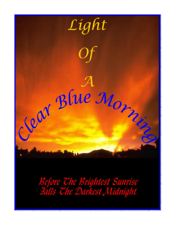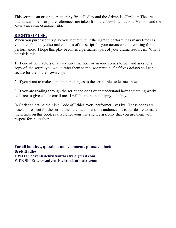This script is an original creation by Brett Hadley and the Adventist Christian Theatre drama team. All scripture references are taken from the New International Version and the New American Standard Bible.

# **RIGHTS OF USE:**

When you purchase this play you secure with it the right to perform it as many times as you like. You may also make copies of the script for your actors when preparing for a performance. I hope this play becomes a permanent part of your drama resources. What I do ask is this:

1. If one of your actors or an audience member or anyone comes to you and asks for a copy of the script, you would refer them to me *(see name and address below)* so I can secure for them their own copy.

2. If you want to make some major changes to the script, please let me know.

3. If you are reading through the script and don't quite understand how something works, feel free to give call or email me. I will be more than happy to help you.

In Christian drama their is a Code of Ethics every performer lives by. These codes are based on respect for the script, the other actors and the audience. It is our desire to make the scripts on this book available for your use and we ask only that you use them with respect for the author.

**For all inquires, questions and comments please contact: Brett Hadley EMAIL: adventistchristiantheatre@gmail.com WEB SITE: www.adventistchristiantheatre.com**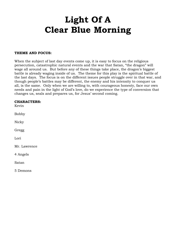# **Light Of A Clear Blue Morning**

# **THEME AND FOCUS:**

When the subject of last day events come up, it is easy to focus on the religious persecution, catastrophic natural events and the war that Satan, "the dragon" will wage all around us. But before any of these things take place, the dragon's biggest battle is already waging inside of us. The theme for this play is the spiritual battle of the last days. The focus is on the different issues people struggle over in that war, and though people's battles may be different, the enemy and his intensity to conquer us all, is the same. Only when we are willing to, with courageous honesty, face our own needs and pain in the light of God's love, do we experience the type of conversion that changes us, seals and prepares us, for Jesus' second coming.

| <b>CHARACTERS:</b><br>Kevin |
|-----------------------------|
| <b>Bobby</b>                |
| Nicky                       |
| Gregg                       |
| Lori                        |
| Mr. Lawrence                |
| 4 Angels                    |
| Satan                       |
| 5 Demons                    |
|                             |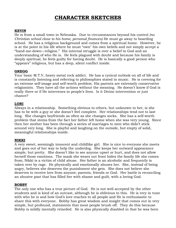# **CHARACTER SKETCHES**

# **KEVIN**

He is from a small town in Nebraska. Due to circumstances beyond his control *(no Christian school close to his home, personal finances)* He must go away to boarding school. He has a religious background and comes from a spiritual home. However, he is at the point in his life where he must "own" his own beliefs and not simply accept a "hand-me-down—religion." His internal struggle is over a belief in God and an understanding of who He is. He feels plagued with doubt and because his family is deeply spiritual, he feels guilty for having doubt. He is basically a good person who "appears" religious, but has a deep, silent conflict inside.

# **GREGG**

Your basic M.T.V, heavy metal rock addict. He has a cynical outlook on all of life and is constantly listening and referring to philosophies stated in music. He is covering for an extreme self-image and self-worth problem. His parents are extremely conservative religionists. They have all the actions without the meaning. He doesn't know if God is really there or if He intervenes in people's lives. Is it Divine intervention or just chance?

# **LORI**

Always in a relationship. Something obvious to others, but unknown to her, is she has to be with a guy or she doesn't feel complete. Her relationships tend not to last long. She changes boyfriends as often as she changes socks. She has a self-worth problem that stems from the fact her father left home when she was very young. Since then her mother has been through a series of marriages to men who didn't stick around very long. She is playful and laughing on the outside, but empty of solid, meaningful relationships inside.

# **NIKKI**

A very sweet, seemingly innocent and childlike girl. She is nice to everyone she meets and goes out of her way to help the underdog. She keeps her outward appearance simple, but pretty. She doesn't like to see anyone upset or hurt, and does not allow herself those emotions. The mask she wears out front hides the family life she comes from; Nikki is a victim of child abuse. Her father is an alcoholic and frequently is taken over by rage. He physically and emotionally abuses her. She, instead of being angry, believes she deserves the punishment she gets. She does not believe she deserves to receive love from anyone; parents, friends or God. Her battle is reconciling an abusive past that has filled her with shame and guilt, with a loving God.

# **BOBBY**

The only one who has a true picture of God. He is not well accepted by the other students and is kind of an outcast, although he is oblivious to this. He is very in tune with who he is and how God's love reaches to all people and He is enthusiastic to share this with everyone. Bobby has great wisdom and insight that comes out in very simple, but profound, statements that most people brush off. They do this because Bobby is mildly mentally retarded. He is also physically disabled in that he was born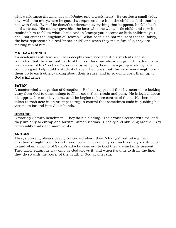with weak lungs *(he must use an inhaler)* and a weak heart. He carries a small teddy bear with him everywhere he goes that represents, to him, the childlike faith that he has with God. Even if he doesn't understand everything that happens, he falls back on that trust. His mother gave him the bear when he was a little child, and now it reminds him to follow what Jesus said in "except you become as little children, you shall not enter the kingdom of Heaven." What people do not realize is that to Bobby, the bear represents his real "inner-child" and when they make fun of it, they are making fun of him.

# **MR. LAWERENCE**

An academy Bible teacher. He is deeply concerned about his students and is convicted that the spiritual battle of the last days has already begun. He attempts to reach some of his "problem" students by unifying them into a group working for a common goal: help build a student chapel. He hopes that this experience might open them up to each other, talking about their issues, and in so doing open them up to God's influence.

# **SATAN**

A mastermind and genius of deception. He has trapped all the characters into looking away from God to other things to fill or cover their needs and pain. He is logical about his approaches on his victims until he begins to loose control of them. He then is taken to rash acts in an attempt to regain control that sometimes ends in pushing his victims to far and into God's hands.

# **DEMONS**

Obviously Satan's henchmen. They do his bidding. Their voices seethe with evil and they live only to entrap and torture human victims. Sneaky and skulking are their key personality traits and movements.

# **ANGELS**

Always present, always deeply concerned about their "charges" but taking their direction straight from God's throne room. They do only as much as they are directed to and when a victim of Satan's attacks cries out to God they are instantly present. They allow Satan his way only as God allows it, and when it's time to draw the line, they do so with the power of the wrath of God against sin.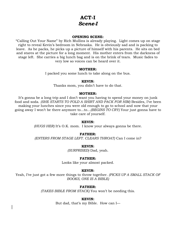# **ACT-I**  *Scene-I*

# **OPENING SCENE:**

"Calling Out Your Name" by Rich Mullins is already playing. Light comes up on stage right to reveal Kevin's bedroom in Nebraska. He is obviously sad and is packing to leave. As he packs, he picks up a picture of himself with his parents. He sits on bed and stares at the picture for a long moment. His mother enters from the darkness of stage left. She carries a big lunch bag and is on the brink of tears. Music fades to very low so voices can be heard over it.

# **MOTHER:**

I packed you some lunch to take along on the bus.

# **KEVIN:**

Thanks mom, you didn't have to do that.

# **MOTHER:**

It's gonna be a long trip and I don't want you having to spend your money on junk food and soda. *(SHE STARTS TO FOLD A SHIRT AND PACK FOR HIM)* Besides, I've been making your lunches since you were old enough to go to school and now that your going away I won't be there anymore to...to...*(BEGINS TO CRY)* Your just gonna have to take care of yourself.

# **KEVIN:**

*(HUGS HER)* It's O.K. mom. I know your always gonna be there.

# **FATHER:**

*(ENTERS FROM STAGE LEFT. CLEARS THROAT)* Can I come in?

# **KEVIN:**

*(SURPRISED)* Dad, yeah.

# **FATHER:**

Looks like your almost packed.

# **KEVIN:**

Yeah, I've just got a few more things to throw together. *(PICKS UP A SMALL STACK OF BOOKS, ONE IS A BIBLE)*

# **FATHER:**

*(TAKES BIBLE FROM STACK)* You won't be needing this.

# **KEVIN:**

But dad, that's my Bible. How can I—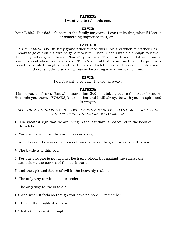#### **FATHER:**

I want you to take this one.

#### **KEVIN:**

Your Bible? But dad, it's been in the family for years. I can't take this, what if I lost it or something happened to it, or—

#### **FATHER:**

*(THEY ALL SIT ON BED)* My grandfather owned this Bible and when my father was ready to go out on his own he gave it to him. Then, when I was old enough to leave home my father gave it to me. Now it's your turn. Take it with you and it will always remind you of where your roots are. There's a lot of history in this Bible. It's promises saw this family through a lot of hard times and a lot of tears. Always remember son, there is nothing so dangerous as forgetting where you came from.

#### **KEVIN:**

I don't want to go dad. It's too far away.

#### **FATHER:**

I know you don't son. But who knows that God isn't taking you to this place because He needs you there. *(STANDS)* Your mother and I will always be with you; in spirit and in prayer.

*(ALL THREE STAND IN A CIRCLE WITH ARMS AROUND EACH OTHER. LIGHTS FADE OUT AND SLIDES/NARRARATION COME ON)*

- 1. The greatest sign that we are living in the last days is not found in the book of Revelation.
- 2. You cannot see it in the sun, moon or stars,
- 3. And it is not the wars or rumors of wars between the governments of this world.
- 4. The battle is within you.
- 5. For our struggle is not against flesh and blood, but against the rulers, the authorities, the powers of this dark world,
- 7. and the spiritual forces of evil in the heavenly realms.
- 8. The only way to win is to surrender,
- 9. The only way to live is to die.
- 10. And when it feels as though you have no hope. . .remember,
- 11. Before the brightest sunrise
- 12. Falls the darkest midnight.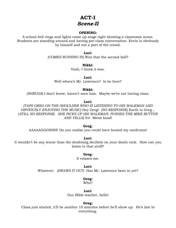# **ACT-I**  *Scene-II*

# **OPENING:**

A school bell rings and lights come up stage right showing a classroom scene. Students are standing around and having pre-class conversation. Kevin is obviously by himself and not a part of the crowd.

### **Lori:**

*(COMES RUNNING IN)* Was that the second bell?

# **Nikki:**

Yeah, I think it was.

**Lori:** 

Well where's Mr. Lawrence? Is he here?

# **Nikki:**

*(SHRUGS)* I don't know, haven't seen him. Maybe we're not having class.

# **Lori:**

*(TAPS GREG ON THE SHOULDER WHO IS LISTENING TO HIS WALKMAN AND OBVIOUSLY ENJOYING THE MUSIC)* Hey Greg! *(NO RESPONSE)* Earth to Greg... (*STILL NO RESPONSE. SHE PICKS UP HIS WALKMAN, PUSHES THE MIKE BUTTON AND YELLS)* Yo! Metal head!

# **Greg:**

AAAAAGGGHHH! Do you realize you could have busted my eardrums!

#### **Lori:**

It wouldn't be any worse than the deafening decibels on your death rock. How can you listen to that stuff?

# **Greg:**

It relaxes me.

# **Lori:**  Whatever. *(DRAWS IT OUT)* Has Mr. Lawrence been in yet?

#### **Greg:** Who?

# **Lori:**

Our Bible teacher, hello!

# **Greg:**

Class just started, it'll be another 10 minutes before he'll show up. He's late to everything.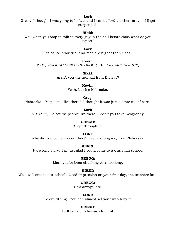#### **Lori:**

Great. I thought I was going to be late and I can't afford another tardy or I'll get suspended.

# **Nikki:**

Well when you stop to talk to every guy in the hall before class what do you expect?

> **Lori:**  It's called priorities, and men are higher than class.

> > **Kevin:**

*(SHY, WALKING UP TO THE GROUP)* Hi. *(ALL MUMBLE "HI")*

**Nikki:** Aren't you the new kid from Kansas?

# **Kevin:**

Yeah, but it's Nebraska.

# **Greg:**

Nebraska! People still live there? I thought it was just a state full of corn.

**Lori:** *(HITS HIM)* Of course people live there. Didn't you take Geography?

# **GREGG:**

Slept through it.

# **LORI:**

Why did you come way out here? We're a long way from Nebraska!

**KEVIN:**

It's a long story. I'm just glad I could come to a Christian school.

# **GREGG:**

Man, you've been shucking corn too long.

# **NIKKI:**

Well, welcome to our school. Good impression on your first day, the teachers late.

# **GREGG:**

He's always late.

# **LORI:**

To everything. You can almost set your watch by it.

# **GREGG:**

He'll be late to his own funeral.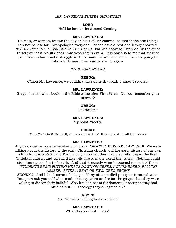#### *(MR. LAWRENCE ENTERS UNNOTICED)*

#### **LORI:**

He'll be late to the Second Coming.

### **MR. LAWRENCE:**

No man, or woman, knows the day or hour of His coming, so that is the one thing I can not be late for. My apologies everyone. Please have a seat and lets get started. *(EVERYONE SITS. KEVIN SITS IN THE BACK)*. I'm late because I stopped by the office to get your test results back from yesterday's exam. It is obvious to me that most of you seem to have had a struggle with the material we've covered. So were going to take a little more time and go over it again.

#### *(EVERYONE MOANS)*

#### **GREGG:**

C'mon Mr. Lawrence, we couldn't have done that bad. I know I studied.

## **MR. LAWRENCE:**

Gregg, I asked what book in the Bible came after First Peter. Do you remember your answer?

#### **GREGG:**

Revelation?

#### **MR. LAWRENCE:**

My point exactly.

#### **GREGG:**

*(TO KIDS AROUND HIM)* it does doesn't it? It comes after all the books!

#### **MR. LAWRENCE:**

Anyway, does anyone remember our topic? *(SILENCE. KIDS LOOK AROUND).* We were talking about the history of the early Christian church and the early history of our own church. It was Peter and Paul, along with the other disciples, who began the first Christian church and spread it like wild fire over the world they knew. Nothing could stop these guys short of death. And that is exactly what happened to most of them. *(STUDENTS BEGIN PUTTING HEADS DOWN ON DESKS, ACTING BORED, FALLING ASLEEP. AFTER A BEAT OR TWO, GREG BEGINS* 

*SNORING)* And I don't mean of old age. Many of them died pretty torturous deaths. You gotta ask yourself what made these guys so on fire for the gospel that they were willing to die for their beliefs? Was it just a set of fundamental doctrines they had studied out? A theology they all agreed on?

#### **KEVIN:**

No. Who'd be willing to die for that?

#### **MR. LAWRENCE:**

What do you think it was?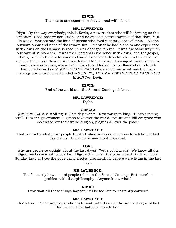#### **KEVIN:**

The one to one experience they all had with Jesus.

#### **MR. LAWRENCE:**

Right! By the way everybody, this is Kevin, a new student who will be joining us this semester. Good observation Kevin. And no one is a better example of that than Paul. He was a Pharisee and the kind of person who lived just for a code of ethics. All the outward show and none of the inward fire. But after he had a one to one experience with Jesus on the Damascus road he was changed forever. It was the same way with our Adventist pioneers. It was their personal experience with Jesus, and the gospel, that gave them the fire to work and sacrifice to start this church. And the cost for some of them were their entire lives devoted to the cause. Looking at these people we have to ask ourselves, where is the fire of Paul today? Is the flame of our church founders burned out? *(OBVIOUS SILENCE)* Who can tell me what was the main message our church was founded on? *(KEVIN, AFTER A FEW MOMENTS, RAISED HIS HAND)* Yes, Kevin.

#### **KEVIN:**

End of the world and the Second Coming of Jesus.

#### **MR. LAWRENCE:**

Right.

# **GREGG:**

*(GETTING EXCITED)* All right! Last day events. Now you're talking. That's exciting stuff! How the government is gonna take over the world, torture and kill everyone who doesn't follow their world religion, plagues all over the place!

#### **MR. LAWRENCE:**

That is exactly what most people think of when someone mentions Revelation or last day events. But there is more to it than that.

#### **LORI:**

Why are people so uptight about the last days? We've got it made! We know all the signs, we know what to look for. I figure that when the government starts to make Sunday laws or I see the pope being elected president, I'll believe were living in the last days.

#### **MR.LAWRENCE:**

That's exactly how a lot of people relate to the Second Coming. But there's a problem with that philosophy. Anyone know what?

#### **NIKKI:**

If you wait till those things happen, it'll be too late to "instantly convert".

#### **MR. LAWRENCE:**

That's true. For those people who try to wait until they see the outward signs of last day events, their battle is already lost.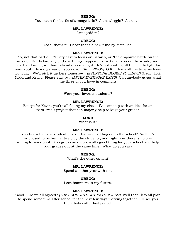#### **GREGG:**

You mean the battle of armagelletin? Alarmaleggin? Alarma—

# **MR. LAWRENCE:**

Armageddon?

#### **GREGG:**

Yeah, that's it. I hear that's a new tune by Metallica.

# **MR. LAWRENCE:**

No, not that battle. It's very east to focus on Satan's, or "the dragon's" battle on the outside. But before any of those things happen, his battle for you on the inside, your heart and mind, will have already been fought. He's not waiting till the end to fight for your soul. He wages war on you now. *(BELL RINGS)* O.K. That's all the time we have for today. We'll pick it up here tomorrow. *(EVERYONE BEGINS TO LEAVE)* Gregg, Lori, Nikki and Kevin. Please stay by. *(AFTER EVERYONE EXITS)* Can anybody guess what the three of you have in common?

#### **GREGG:**

Were your favorite students?

# **MR. LAWRENCE:**

Except for Kevin, you're all failing my class. I've come up with an idea for an extra-credit project that can majorly help salvage your grades.

#### **LORI:**

What is it?

#### **MR. LAWRENCE:**

You know the new student chapel that were adding on to the school? Well, it's supposed to be built entirely by the students, and right now there is no one willing to work on it. You guys could do a really good thing for your school and help your grades out at the same time. What do you say?

#### **GREGG:**

What's the other option?

#### **MR. LAWRENCE:**

Spend another year with me.

# **GREGG:**

I see hammers in my future.

#### **MR. LAWRENCE:**

Good. Are we all agreed? *(THEY NOD WITHOUT ENTHUSIASM)* Well then, lets all plan to spend some time after school for the next few days working together. I'll see you there today after last period.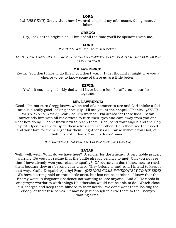*(AS THEY EXIT)* Great. Just how I wanted to spend my afternoons, doing manual labor.

#### **GREGG:**

Hey, look at the bright side. Think of all the time you'll be spending with me.

#### **LORI:**

#### *(SARCASTIC)* I feel so much better.

*LORI TURNS AND EXITS. GREGG TAKES A BEAT THEN GOES AFTER HER FOR MORE CONVINCING)*

#### **MR.LAWRENCE:**

Kevin. You don't have to do this if you don't want. I just thought it might give you a chance to get to know some of these guys a little better.

#### **KEVIN:**

Yeah, it sounds good. My dad and I have built a lot of stuff around our farm together.

#### **MR. LAWRENCE:**

Good. I'm not sure Gregg knows which end of a hammer to use and Lori thinks a 2x4 stud is a really good-looking short guy. I'll see you at the chapel. Thanks. *(KEVIN EXITS. SITS AT DESK)* Dear God, I'm worried. I'm scared for these kids. Satan surrounds him with all his devices to turn their eyes and ears away from you and what he's doing. I don't know how to reach them. God, send your angels and the Holy Spirit. Open these kids up to themselves and each other. Help them see their need and your love for them. Fight for them. Fight for us all. Cause without you God, our battle is lost. Thank You. In Jesus' name.

*(HE FREEZES. SATAN AND FOUR DEMONS ENTER)*

#### **SATAN:**

Well, well, well. What do we have here? A soldier for the Enemy. A very noble prayer, warrior. Do you not realize that the battle already belongs to me? Can you not see that I have already won your class to apathy? Of course you don't know how to reach them because they are beyond your grasp. They belong to me! And I intend to keep it that way. Guilt! Despair! Apathy! Fear! *(DEMONS COME IMMEDIATELY TO HIS SIDE)* We have a strong hold on these little ones, but lets not be careless. I know that the Enemy waits in disgusting patience not wanting to lose anyone. And all He needs is one prayer warrior to work things He otherwise would not be able to do. Watch close our charges and keep them blinded to their needs. We don't want them looking too closely at their true selves. It may be just enough to drive them to the Enemy's waiting arms.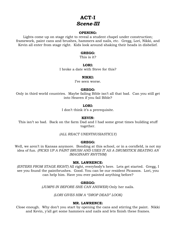# **ACT-I**  *Scene-III*

# **OPENING:**

Lights come up on stage right to reveal a student chapel under construction; framework, paint cans and brushes, hammers and nails, etc. Gregg, Lori, Nikki, and Kevin all enter from stage right. Kids look around shaking their heads in disbelief.

# **GREGG:**

This is it?

# **LORI:**

I broke a date with Steve for this?

# **NIKKI:**

I've seen worse.

# **GREGG:**

Only in third world countries. Maybe failing Bible isn't all that bad. Can you still get into Heaven if you fail Bible?

# **LORI:**

I don't think it's a prerequisite.

# **KEVIN:**

This isn't so bad. Back on the farm Dad and I had some great times building stuff together.

*(ALL REACT UNENTHUSIASTICLY)*

# **GREGG:**

Well, we aren't in Kansas anymore. Bonding at this school, or in a cornfield, is not my idea of fun. *(PICKS UP A PAINT BRUSH AND USES IT AS A DRUMSTICK BEATING AN IMAGINARY RHYTHM)*

# **MR. LAWRENCE:**

*(ENTERS FROM STAGE RIGHT)* All right, everybody's here. Lets get started. Gregg, I see you found the paintbrushes. Good. You can be our resident Picassos. Lori, you can help him. Have you ever painted anything before?

# **GREGG:**

*(JUMPS IN BEFORE SHE CAN ANSWER)* Only her nails.

*(LORI GIVES HIM A "DROP DEAD" LOOK)*

# **MR. LAWRENCE:**

Close enough. Why don't you start by opening the cans and stirring the paint. Nikki and Kevin, y'all get some hammers and nails and lets finish these frames.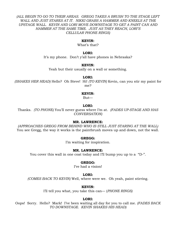*(ALL BEGIN TO GO TO THEIR AREAS. GREGG TAKES A BRUSH TO THE STAGE LEFT WALL AND JUST STARES AT IT. NIKKI GRABS A HAMMER AND KNEELS AT THE UPSTAGE WALL. KEVIN AND LORI MOVE DOWNSTAGE TO GET A PAINT CAN AND HAMMER AT THE SAME TIME. JUST AS THEY REACH, LORI'S CELLULAR PHONE RINGS)*

#### **KEVIN:**

What's that?

#### **LORI:**

It's my phone. Don't y'all have phones in Nebraska?

#### **KEVIN:**

Yeah but their usually on a wall or something.

#### **LORI:**

*(SHAKES HER HEAD)* Hello? Oh Steve! Hi! *(TO KEVIN)* Kevin, can you stir my paint for me?

#### **KEVIN:**

But—

#### **LORI:**

Thanks. *(TO PHONE)* You'll never guess where I'm at. *(FADES UP-STAGE AND HAS CONVERSATION)*

# **MR. LAWRENCE:**

*(APPROACHES GREGG FROM BEHIND WHO IS STILL JUST STARING AT THE WALL)* You see Gregg, the way it works is the paintbrush moves up and down, not the wall.

#### **GREGG:**

I'm waiting for inspiration.

# **MR. LAWRENCE:**

You cover this wall in one coat today and I'll bump you up to a "D-".

#### **GREGG:**

I've had a vision!

#### **LORI:**

*(COMES BACK TO KEVIN)* Well, where were we. Oh yeah, paint stirring.

#### **KEVIN:**

I'll tell you what, you take this can— (*PHONE RINGS)*

#### **LORI:**

Oops! Sorry. Hello? Mark! I've been waiting all day for you to call me. *(FADES BACK TO DOWNSTAGE. KEVIN SHAKES HIS HEAD)*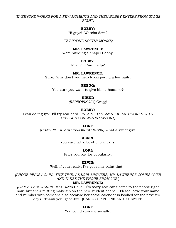# *(EVERYONE WORKS FOR A FEW MOMENTS AND THEN BOBBY ENTERS FROM STAGE RIGHT)*

#### **BOBBY:**

Hi guys! Watcha doin?

*(EVERYONE SOFTLY MOANS)*

#### **MR. LAWRENCE:**

Were building a chapel Bobby.

#### **BOBBY:**

Really? Can I help?

#### **MR. LAWRENCE:**

Sure. Why don't you help Nikki pound a few nails.

#### **GREGG:**

You sure you want to give him a hammer?

#### **NIKKI:**

*(REPROVINGLY)* Gregg!

#### **BOBBY:**

I can do it guys! I'll try real hard. *(START TO HELP NIKKI AND WORKS WITH OBVIOUS CONCERTED EFFORT)*

#### **LORI:**

*(HANGING UP AND REJOINING KEVIN)* What a sweet guy.

**KEVIN:**

You sure get a lot of phone calls.

**LORI:**

Price you pay for popularity.

#### **KEVIN:**

Well, if your ready, I've got some paint that—

*(PHONE RINGS AGAIN. THIS TIME, AS LORI ANSWERS, MR. LAWRENCE COMES OVER AND TAKES THE PHONE FROM LORI)*

#### **MR. LAWRENCE:**

*(LIKE AN ANSWERING MACHINE)* Hello. I'm sorry Lori can't come to the phone right now, but she's putting make-up on the new student chapel. Please leave your name and number with someone else because her social calendar is booked for the next few days. Thank you, good-bye. (HANGS UP PHONE AND KEEPS IT)

#### **LORI:**

You could ruin me socially.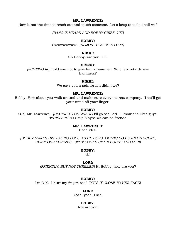# **MR. LAWRENCE:**

Now is not the time to reach out and touch someone. Let's keep to task, shall we?

*(BANG IS HEARD AND BOBBY CRIES OUT)*

#### **BOBBY:**

Owwwwwwww! *(ALMOST BEGINS TO CRY)*

#### **NIKKI:**

Oh Bobby, are you O.K.

# **GREGG:**

*(JUMPING IN)* I told you not to give him a hammer. Who lets retards use hammers?

#### **NIKKI:**

We gave you a paintbrush didn't we?

# **MR. LAWRENCE:**

Bobby, How about you walk around and make sure everyone has company. That'll get your mind off your finger.

#### **BOBBY:**

O.K. Mr. Lawrence. *(BEGINS TO CHEER UP)* I'll go see Lori. I know she likes guys. *(WHISPERS TO HIM)* Maybe we can be friends.

#### **MR. LAWRENCE:**

Good idea.

*(BOBBY MAKES HIS WAY TO LORI. AS HE DOES, LIGHTS GO DOWN ON SCENE, EVERYONE FREEZES. SPOT COMES UP ON BOBBY AND LORI)*

#### **BOBBY:**

Hi!

#### **LORI:**

*(FRIENDLY, BUT NOT THRILLED)* Hi Bobby, how are you?

#### **BOBBY:**

I'm O.K. I hurt my finger, see? *(PUTS IT CLOSE TO HER FACE)*

### **LORI:**

Yeah, yeah, I see.

#### **BOBBY:**

How are you?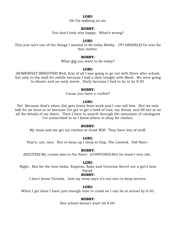Oh I'm walking on air.

#### **BOBBY:**

You don't look very happy. What's wrong?

#### **LORI:**

This just isn't one of the things I wanted to do today Bobby. *(TO HERSELF)* Or ever for that matter.

#### **BOBBY:**

What did you want to do today?

#### **LORI:**

*(SOMEWHAT BRIGHTER)* Well, first of all I was going to go out with Steve after school, but only to the mall for awhile because I had a date tonight with Mark. We were going to dinner and an early movie. Early because I had to be in by 9:30.

#### **BOBBY:**

Cause you have a curfew?

#### **LORI:**

No! Because that's when Jim gets home from work and I can call him. But we only talk for an hour or so because I've got to get a hold of Lisa, my friend, and fill her in on all the details of my dates. Then I have to search through the mountain of catalogues I've subscribed to so I know where to shop for clothes.

#### **BOBBY:**

My mom and me get my clothes at Good Will! They have lots of stuff.

#### **LORI:**

That's, um, nice. But to keep up I shop at Gap, The Limited, Old Navy--

#### **BOBBY:**

*(EXCITED)* My cousin was in the Navy! *(CONFUSED)* But he wasn't very old...

#### **LORI:**

Right. But for the best looks, Express, Saks and Victorias Secret are a girl's best friend.

#### **BOBBY:**

I don't know Victoria. And my mom says it's not nice to keep secrets.

#### **LORI:**

When I get done I have just enough time to crash so I can be at school by 6:30.

#### **BOBBY:**

But school doesn't start till 8:00.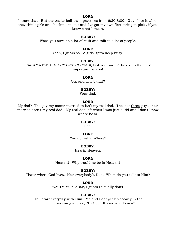I know that. But the basketball team practices from 6:30-8:00. Guys love it when they think girls are checkin' em' out and I've got my own first string to pick , if you know what I mean.

# **BOBBY:**

Wow, you sure do a lot of stuff and talk to a lot of people.

#### **LORI:**

Yeah, I guess so. A girls' gotta keep busy.

#### **BOBBY:**

*(INNOCENTLY, BUT WITH ENTHUSIASM)* But you haven't talked to the most important person!

#### **LORI:**

Oh, and who's that?

#### **BOBBY:**

Your dad.

# **LORI:**

My dad? The guy my moms married to isn't my real dad. The last three guys she's married aren't my real dad. My real dad left when I was just a kid and I don't know where he is.

#### **BOBBY:**

I do.

#### **LORI:**

You do huh? Where?

# **BOBBY:**

He's in Heaven.

#### **LORI:**

Heaven? Why would he be in Heaven?

#### **BOBBY:**

That's where God lives. He's everybody's Dad. When do you talk to Him?

#### **LORI:**

*(UNCOMFORTABLE)* I guess I usually don't.

#### **BOBBY:**

Oh I start everyday with Him. Me and Bear get up eeearly in the morning and say "Hi God! It's me and Bear--"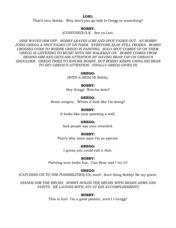That's nice Bobby. Why don't you go talk to Gregg or something?

#### **BOBBY:**

*(CONFUSED)* O.K. See ya Lori.

*(SHE WAVES HIM OFF. BOBBY LEAVES LORI AND SPOT FADES OUT. AS BOBBY JOINS GREGG A SPOT FADES UP ON THEM. EVERYONE ELSE STILL FROZEN. BOBBY CROSSES OVER TO WHERE GREGG IS PAINTING. SOLO SPOT COMES UP ON THEM. GREGG IS LISTENING TO MUSIC WITH HIS WALKMAN ON. BOBBY COMES FROM BEHIND HIM AND GETS HIS ATTENTION BY HAVING BEAR TAP ON GREGG'S SHOULDER. GREGG TRIES TO IGNORE BOBBY, BUT BOBBY KEEPS USING HIS BEAR TO GET GREGG'S ATTENTION. FINALLY GREGG GIVES IN)* 

#### **GREGG:**

*(WITH A SIGH)* Hi Bobby.

#### **BOBBY:**

Hey Gregg! Watcha doin?

### **GREGG:**

Brain surgery. Whats it look like I'm doing?

#### **BOBBY:**

It looks like your painting a wall.

#### **GREGG:**

And people say your retarded.

#### **BOBBY:**

That's why mom says I'm so special.

#### **GREGG:**

I guess you could call it that.

### **BOBBY:**

Painting sure looks fun. Can Bear and I try it?

#### **GREGG:**

*(CATCHING ON TO THE POSSIBILITIES)* Uh, sure! Sure thing Bobby! Be my guest.

*(HANDS HIM THE BRUSH. BOBBY HOLDS THE BRUSH WITH BEARS ARMS AND PAINTS. HE LAUGHS WITH JOY AT HIS ACCOMPLISHMENT)*

#### **BOBBY:**

This is fun! I'm a good painter, aren't I Gregg?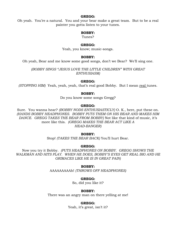### **GREGG:**

Oh yeah. You're a natural. You and your bear make a great team. But to be a real painter you gotta listen to your tunes.

### **BOBBY:**

Tunes?

#### **GREGG:**

Yeah, you know; music-songs.

#### **BOBBY:**

Oh yeah, Bear and me know some good songs, don't we Bear? We'll sing one.

*(BOBBY SINGS "JESUS LOVE THE LITTLE CHILDREN" WITH GREAT ENTHUSIASM)*

#### **GREGG:**

*(STOPPING HIM)* Yeah, yeah, yeah, that's real good Bobby. But I mean real tunes.

#### **BOBBY:**

Do you know some songs Gregg?

#### **GREGG:**

Sure. You wanna hear? *(BOBBY NODS ENTHUSIASTICLY)* O. K., here, put these on. *(HANDS BOBBY HEADPHONES. BOBBY PUTS THEM ON HIS BEAR AND MAKES HIM DANCE. GREGG TAKES THE BEAR FROM BOBBY)* Not like that kind of music, it's more like this. *(GREGG MAKES THE BEAR ACT LIKE A HEAD-BANGER)*

#### **BOBBY:**

Stop! *(TAKES THE BEAR BACK)* You'll hurt Bear.

#### **GREGG:**

Now you try it Bobby. *(PUTS HEADPHONES ON BOBBY. GREGG SHOWS THE WALKMAN AND HITS PLAY. WHEN HE DOES, BOBBY'S EYES GET REAL BIG AND HE GRIMACES LIKE HE IS IN GREAT PAIN)*

#### **BOBBY:**

AAAAAAAAAh! *(THROWS OFF HEADPHONES)*

# **GREGG:**

So, did you like it?

#### **BOBBY:**

There was an angry man on there yelling at me!

# **GREGG:**

Yeah, it's great, isn't it?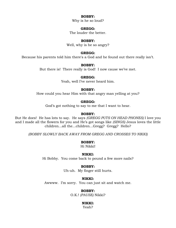Why is he so loud?

# **GREGG:**

The louder the better.

#### **BOBBY:**

Well, why is he so angry?

#### **GREGG:**

Because his parents told him there's a God and he found out there really isn't.

#### **BOBBY:**

But there is! There really is God! I now cause we've met.

#### **GREGG:**

Yeah, well I've never heard him.

#### **BOBBY:**

How could you hear Him with that angry man yelling at you?

# **GREGG:**

God's got nothing to say to me that I want to hear.

# **BOBBY:**

But He does! He has lots to say. He says *(GREGG PUTS ON HEAD PHONES)* I love you and I made all the flowers for you and He's got songs like *(SINGS)* Jesus loves the little children...all the...children...Gregg? Gregg? Hello?

*(BOBBY SLOWLY BACK AWAY FROM GREGG AND CROSSES TO NIKKI)*

#### **BOBBY:**

Hi Nikki!

#### **NIKKI:**

Hi Bobby. You come back to pound a few more nails?

#### **BOBBY:**

Uh-uh. My finger still hurts.

#### **NIKKI:**

Awwww. I'm sorry. You can just sit and watch me.

#### **BOBBY:**

O.K.! *(PAUSE)* Nikki?

#### **NIKKI:**

Yeah?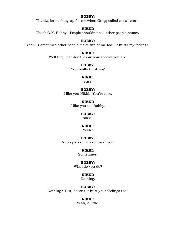Thanks for sticking up for me when Gregg called me a retard.

# **NIKKI:**

That's O.K. Bobby. People shouldn't call other people names.

### **BOBBY:**

Yeah. Sometimes other people make fun of me too. It hurts my feelings.

# **NIKKI:**

Well they just don't know how special you are.

# **BOBBY:**

You really think so?

### **NIKKI:**

Sure.

### **BOBBY:**

I like you Nikki. You're nice.

**NIKKI:** I like you too Bobby.

# **BOBBY:**

Nikki?

#### **NIKKI:**

Yeah?

# **BOBBY:**

Do people ever make fun of you?

#### **NIKKI:**

Sometimes.

# **BOBBY:**

What do you do?

# **NIKKI:**

Nothing.

# **BOBBY:**

Nothing? But, doesn't it hurt your feelings too?

# **NIKKI:**

Yeah, a little.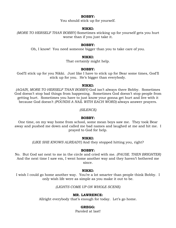You should stick up for yourself.

### **NIKKI:**

*(MORE TO HERSELF THAN BOBBY)* Sometimes sticking up for yourself gets you hurt worse than if you just take it.

#### **BOBBY:**

Oh, I know! You need someone bigger than you to take care of you.

#### **NIKKI:**

That certainly might help.

#### **BOBBY:**

God'll stick up for you Nikki. Just like I have to stick up for Bear some times, God'll stick up for you. He's bigger than everybody.

#### **NIKKI:**

*(AGAIN, MORE TO HERSELF THAN BOBBY)* God isn't always there Bobby. Sometimes God doesn't stop bad things from happening. Sometimes God doesn't stop people from getting hurt. Sometimes you have to just know your gonna get hurt and live with it because God doesn't *(POUNDS A NAIL WITH EACH WORD)* always answer prayers.

*(SILENCE)*

#### **BOBBY:**

One time, on my way home from school, some mean boys saw me. They took Bear away and pushed me down and called me bad names and laughed at me and hit me. I prayed to God for help.

#### **NIKKI:**

*(LIKE SHE KNOWS ALREADY)* And they stopped hitting you, right?

#### **BOBBY:**

No. But God sat next to me in the circle and cried with me. *(PAUSE. THEN BRIGHTER)* And the next time I saw em, I went home another way and they haven't bothered me since.

#### **NIKKI:**

I wish I could go home another way. You're a lot smarter than people think Bobby. I only wish life were as simple as you make it out to be.

*(LIGHTS COME UP ON WHOLE SCENE)*

# **MR. LAWRENCE:**

Allright everybody that's enough for today. Let's go home.

# **GREGG:**

Paroled at last!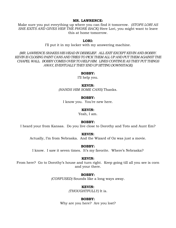#### **MR. LAWRENCE:**

Make sure you put everything up where you can find it tomorrow. *(STOPS LORI AS SHE EXITS AND GIVES HER THE PHONE BACK)* Here Lori, you might want to leave this at home tomorrow.

#### **LORI:**

I'll put it in my locker with my answering machine.

*(MR. LAWRENCE SHAKES HIS HEAD IN DISBELIEF. ALL EXIT EXCEPT KEVIN AND BOBBY. KEVIN IS CLOSING PAINT CANS AND TRIES TO PICK THEM ALL UP AND PUT THEM AGAINST THE CHAPEL WALL. BOBBY COMES OVER TO HELP HIM. LINES CONTINUE AS THEY PUT THINGS AWAY, EVENTUALLY THEY END UP SITTING DOWNSTAGE)*

#### **BOBBY:**

I'll help you.

#### **KEVIN:**

*(HANDS HIM SOME CANS)* Thanks.

#### **BOBBY:**

I know you. You're new here.

# **KEVIN:**

Yeah, I am.

#### **BOBBY:**

I heard your from Kansas. Do you live close to Dorothy and Toto and Aunt Em?

#### **KEVIN:**

Actually, I'm from Nebraska. And the Wizard of Oz was just a movie.

#### **BOBBY:**

I know. I saw it seven times. It's my favorite. Where's Nebraska?

#### **KEVIN:**

From here? Go to Dorothy's house and turn right. Keep going till all you see is corn and your there.

#### **BOBBY:**

*(CONFUSED)* Sounds like a long ways away.

#### **KEVIN:**

*(THOUGHTFULLY)* It is.

#### **BOBBY:**

Why are you here? Are you lost?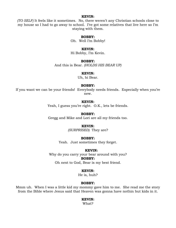#### **KEVIN:**

*(TO SELF)* It feels like it sometimes. No, there weren't any Christian schools close to my house so I had to go away to school. I've got some relatives that live here so I'm staying with them.

#### **BOBBY:**

Oh. Well I'm Bobby!

#### **KEVIN:**

Hi Bobby, I'm Kevin.

#### **BOBBY:**

And this is Bear. *(HOLDS HIS BEAR UP)*

# **KEVIN:**

Uh, hi Bear.

#### **BOBBY:**

If you want we can be your friends! Everybody needs friends. Especially when you're new.

# **KEVIN:**

Yeah, I guess you're right. O.K., lets be friends.

#### **BOBBY:**

Gregg and Mike and Lori are all my friends too.

#### **KEVIN:**

*(SURPRISED)* They are?

#### **BOBBY:**

Yeah. Just sometimes they forget.

#### **KEVIN:**

Why do you carry your bear around with you? **BOBBY:**

Oh next to God, Bear is my best friend.

# **KEVIN:**

He is, huh?

#### **BOBBY:**

Mmm uh. When I was a little kid my mommy gave him to me. She read me the story from the Bible where Jesus said that Heaven was gonna have nothin but kids in it.

#### **KEVIN:**

What?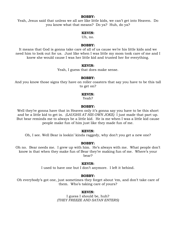Yeah, Jesus said that unless we all are like little kids, we can't get into Heaven. Do you know what that means? Do ya? Huh, do ya?

#### **KEVIN:**

Uh, no.

#### **BOBBY:**

It means that God is gonna take care of all of us cause we're his little kids and we need him to look out for us. Just like when I was little my mom took care of me and I knew she would cause I was her little kid and trusted her for everything.

#### **KEVIN:**

Yeah, I guess that does make sense.

#### **BOBBY:**

And you know those signs they have on roller coasters that say you have to be this tall to get on?

#### **KEVIN:**

Yeah?

# **BOBBY:**

Well they're gonna have that in Heaven only it's gonna say you have to be this short and be a little kid to get in. *(LAUGHS AT HIS OWN JOKE)* I just made that part up. But bear reminds me to always be a little kid. He is me when I was a little kid cause people make fun of him just like they made fun of me.

# **KEVIN:**

Oh, I see. Well Bear is lookin' kinda raggedy, why don't you get a new one?

#### **BOBBY:**

Oh no. Bear needs me. I grew up with him. He's always with me. What people don't know is that when they make fun of Bear they're making fun of me. Where's your bear?

#### **KEVIN:**

I used to have one but I don't anymore. I left it behind.

#### **BOBBY:**

Oh everybody's got one, just sometimes they forget about 'em, and don't take care of them. Who's taking care of yours?

#### **KEVIN:**

I guess I should be, huh? *(THEY FREEZE AND SATAN ENTERS)*